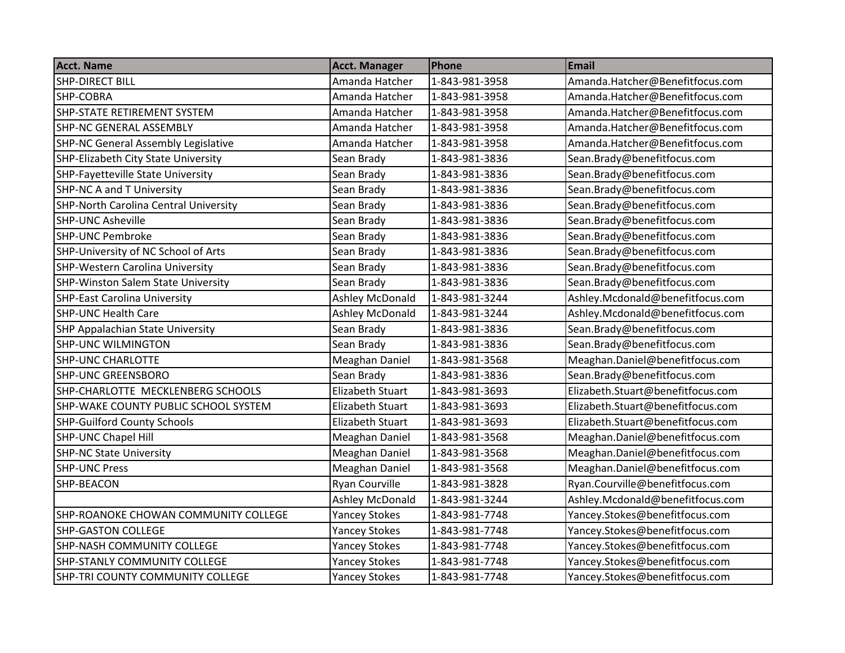| <b>SHP-DIRECT BILL</b><br>Amanda Hatcher<br>1-843-981-3958<br>Amanda.Hatcher@Benefitfocus.com<br>Amanda.Hatcher@Benefitfocus.com<br>SHP-COBRA<br>Amanda Hatcher<br>1-843-981-3958<br>SHP-STATE RETIREMENT SYSTEM<br>Amanda.Hatcher@Benefitfocus.com<br>Amanda Hatcher<br>1-843-981-3958<br>Amanda.Hatcher@Benefitfocus.com<br><b>SHP-NC GENERAL ASSEMBLY</b><br>Amanda Hatcher<br>1-843-981-3958<br>Amanda Hatcher<br>Amanda.Hatcher@Benefitfocus.com<br><b>SHP-NC General Assembly Legislative</b><br>1-843-981-3958<br>Sean.Brady@benefitfocus.com<br>SHP-Elizabeth City State University<br>Sean Brady<br>1-843-981-3836<br>Sean.Brady@benefitfocus.com<br>SHP-Fayetteville State University<br>Sean Brady<br>1-843-981-3836<br><b>SHP-NC A and T University</b><br>Sean.Brady@benefitfocus.com<br>Sean Brady<br>1-843-981-3836<br>Sean.Brady@benefitfocus.com<br><b>SHP-North Carolina Central University</b><br>1-843-981-3836<br>Sean Brady<br>Sean.Brady@benefitfocus.com<br><b>SHP-UNC Asheville</b><br>Sean Brady<br>1-843-981-3836<br>Sean.Brady@benefitfocus.com<br><b>SHP-UNC Pembroke</b><br>1-843-981-3836<br>Sean Brady<br>Sean.Brady@benefitfocus.com<br>SHP-University of NC School of Arts<br>Sean Brady<br>1-843-981-3836<br>Sean.Brady@benefitfocus.com<br><b>SHP-Western Carolina University</b><br>Sean Brady<br>1-843-981-3836<br>Sean.Brady@benefitfocus.com<br><b>SHP-Winston Salem State University</b><br>Sean Brady<br>1-843-981-3836<br>Ashley.Mcdonald@benefitfocus.com<br>Ashley McDonald<br>1-843-981-3244<br><b>SHP-East Carolina University</b><br>Ashley.Mcdonald@benefitfocus.com<br><b>SHP-UNC Health Care</b><br>Ashley McDonald<br>1-843-981-3244<br>Sean.Brady@benefitfocus.com<br><b>SHP Appalachian State University</b><br>Sean Brady<br>1-843-981-3836<br>Sean.Brady@benefitfocus.com<br><b>SHP-UNC WILMINGTON</b><br>Sean Brady<br>1-843-981-3836<br>Meaghan.Daniel@benefitfocus.com<br><b>SHP-UNC CHARLOTTE</b><br>1-843-981-3568<br>Meaghan Daniel<br>Sean.Brady@benefitfocus.com<br><b>SHP-UNC GREENSBORO</b><br>Sean Brady<br>1-843-981-3836<br>Elizabeth Stuart<br>Elizabeth.Stuart@benefitfocus.com<br>SHP-CHARLOTTE MECKLENBERG SCHOOLS<br>1-843-981-3693<br>Elizabeth.Stuart@benefitfocus.com<br>SHP-WAKE COUNTY PUBLIC SCHOOL SYSTEM<br>1-843-981-3693<br><b>Elizabeth Stuart</b><br><b>SHP-Guilford County Schools</b><br>1-843-981-3693<br>Elizabeth.Stuart@benefitfocus.com<br><b>Elizabeth Stuart</b><br><b>SHP-UNC Chapel Hill</b><br>Meaghan.Daniel@benefitfocus.com<br>1-843-981-3568<br>Meaghan Daniel<br>Meaghan Daniel<br>Meaghan.Daniel@benefitfocus.com<br><b>SHP-NC State University</b><br>1-843-981-3568<br>Meaghan Daniel<br>Meaghan.Daniel@benefitfocus.com<br><b>SHP-UNC Press</b><br>1-843-981-3568<br><b>Ryan Courville</b><br>Ryan.Courville@benefitfocus.com<br>SHP-BEACON<br>1-843-981-3828<br>Ashley.Mcdonald@benefitfocus.com<br>Ashley McDonald<br>1-843-981-3244<br>Yancey.Stokes@benefitfocus.com<br>SHP-ROANOKE CHOWAN COMMUNITY COLLEGE<br><b>Yancey Stokes</b><br>1-843-981-7748<br><b>Yancey Stokes</b><br>Yancey.Stokes@benefitfocus.com<br><b>SHP-GASTON COLLEGE</b><br>1-843-981-7748<br><b>SHP-NASH COMMUNITY COLLEGE</b><br><b>Yancey Stokes</b><br>1-843-981-7748<br>Yancey.Stokes@benefitfocus.com<br>Yancey.Stokes@benefitfocus.com<br><b>Yancey Stokes</b><br>SHP-STANLY COMMUNITY COLLEGE<br>1-843-981-7748 | <b>Acct. Name</b> | <b>Acct. Manager</b> | Phone | <b>Email</b> |
|-------------------------------------------------------------------------------------------------------------------------------------------------------------------------------------------------------------------------------------------------------------------------------------------------------------------------------------------------------------------------------------------------------------------------------------------------------------------------------------------------------------------------------------------------------------------------------------------------------------------------------------------------------------------------------------------------------------------------------------------------------------------------------------------------------------------------------------------------------------------------------------------------------------------------------------------------------------------------------------------------------------------------------------------------------------------------------------------------------------------------------------------------------------------------------------------------------------------------------------------------------------------------------------------------------------------------------------------------------------------------------------------------------------------------------------------------------------------------------------------------------------------------------------------------------------------------------------------------------------------------------------------------------------------------------------------------------------------------------------------------------------------------------------------------------------------------------------------------------------------------------------------------------------------------------------------------------------------------------------------------------------------------------------------------------------------------------------------------------------------------------------------------------------------------------------------------------------------------------------------------------------------------------------------------------------------------------------------------------------------------------------------------------------------------------------------------------------------------------------------------------------------------------------------------------------------------------------------------------------------------------------------------------------------------------------------------------------------------------------------------------------------------------------------------------------------------------------------------------------------------------------------------------------------------------------------------------------------------------------------------------------------------------------------------------------------------------------------------------------------------------------------------------------------------------------------------------------------------------------------------------------------------------------------------------------------------------------------------------------------------------------------------------------|-------------------|----------------------|-------|--------------|
|                                                                                                                                                                                                                                                                                                                                                                                                                                                                                                                                                                                                                                                                                                                                                                                                                                                                                                                                                                                                                                                                                                                                                                                                                                                                                                                                                                                                                                                                                                                                                                                                                                                                                                                                                                                                                                                                                                                                                                                                                                                                                                                                                                                                                                                                                                                                                                                                                                                                                                                                                                                                                                                                                                                                                                                                                                                                                                                                                                                                                                                                                                                                                                                                                                                                                                                                                                                                             |                   |                      |       |              |
|                                                                                                                                                                                                                                                                                                                                                                                                                                                                                                                                                                                                                                                                                                                                                                                                                                                                                                                                                                                                                                                                                                                                                                                                                                                                                                                                                                                                                                                                                                                                                                                                                                                                                                                                                                                                                                                                                                                                                                                                                                                                                                                                                                                                                                                                                                                                                                                                                                                                                                                                                                                                                                                                                                                                                                                                                                                                                                                                                                                                                                                                                                                                                                                                                                                                                                                                                                                                             |                   |                      |       |              |
|                                                                                                                                                                                                                                                                                                                                                                                                                                                                                                                                                                                                                                                                                                                                                                                                                                                                                                                                                                                                                                                                                                                                                                                                                                                                                                                                                                                                                                                                                                                                                                                                                                                                                                                                                                                                                                                                                                                                                                                                                                                                                                                                                                                                                                                                                                                                                                                                                                                                                                                                                                                                                                                                                                                                                                                                                                                                                                                                                                                                                                                                                                                                                                                                                                                                                                                                                                                                             |                   |                      |       |              |
|                                                                                                                                                                                                                                                                                                                                                                                                                                                                                                                                                                                                                                                                                                                                                                                                                                                                                                                                                                                                                                                                                                                                                                                                                                                                                                                                                                                                                                                                                                                                                                                                                                                                                                                                                                                                                                                                                                                                                                                                                                                                                                                                                                                                                                                                                                                                                                                                                                                                                                                                                                                                                                                                                                                                                                                                                                                                                                                                                                                                                                                                                                                                                                                                                                                                                                                                                                                                             |                   |                      |       |              |
|                                                                                                                                                                                                                                                                                                                                                                                                                                                                                                                                                                                                                                                                                                                                                                                                                                                                                                                                                                                                                                                                                                                                                                                                                                                                                                                                                                                                                                                                                                                                                                                                                                                                                                                                                                                                                                                                                                                                                                                                                                                                                                                                                                                                                                                                                                                                                                                                                                                                                                                                                                                                                                                                                                                                                                                                                                                                                                                                                                                                                                                                                                                                                                                                                                                                                                                                                                                                             |                   |                      |       |              |
|                                                                                                                                                                                                                                                                                                                                                                                                                                                                                                                                                                                                                                                                                                                                                                                                                                                                                                                                                                                                                                                                                                                                                                                                                                                                                                                                                                                                                                                                                                                                                                                                                                                                                                                                                                                                                                                                                                                                                                                                                                                                                                                                                                                                                                                                                                                                                                                                                                                                                                                                                                                                                                                                                                                                                                                                                                                                                                                                                                                                                                                                                                                                                                                                                                                                                                                                                                                                             |                   |                      |       |              |
|                                                                                                                                                                                                                                                                                                                                                                                                                                                                                                                                                                                                                                                                                                                                                                                                                                                                                                                                                                                                                                                                                                                                                                                                                                                                                                                                                                                                                                                                                                                                                                                                                                                                                                                                                                                                                                                                                                                                                                                                                                                                                                                                                                                                                                                                                                                                                                                                                                                                                                                                                                                                                                                                                                                                                                                                                                                                                                                                                                                                                                                                                                                                                                                                                                                                                                                                                                                                             |                   |                      |       |              |
|                                                                                                                                                                                                                                                                                                                                                                                                                                                                                                                                                                                                                                                                                                                                                                                                                                                                                                                                                                                                                                                                                                                                                                                                                                                                                                                                                                                                                                                                                                                                                                                                                                                                                                                                                                                                                                                                                                                                                                                                                                                                                                                                                                                                                                                                                                                                                                                                                                                                                                                                                                                                                                                                                                                                                                                                                                                                                                                                                                                                                                                                                                                                                                                                                                                                                                                                                                                                             |                   |                      |       |              |
|                                                                                                                                                                                                                                                                                                                                                                                                                                                                                                                                                                                                                                                                                                                                                                                                                                                                                                                                                                                                                                                                                                                                                                                                                                                                                                                                                                                                                                                                                                                                                                                                                                                                                                                                                                                                                                                                                                                                                                                                                                                                                                                                                                                                                                                                                                                                                                                                                                                                                                                                                                                                                                                                                                                                                                                                                                                                                                                                                                                                                                                                                                                                                                                                                                                                                                                                                                                                             |                   |                      |       |              |
|                                                                                                                                                                                                                                                                                                                                                                                                                                                                                                                                                                                                                                                                                                                                                                                                                                                                                                                                                                                                                                                                                                                                                                                                                                                                                                                                                                                                                                                                                                                                                                                                                                                                                                                                                                                                                                                                                                                                                                                                                                                                                                                                                                                                                                                                                                                                                                                                                                                                                                                                                                                                                                                                                                                                                                                                                                                                                                                                                                                                                                                                                                                                                                                                                                                                                                                                                                                                             |                   |                      |       |              |
|                                                                                                                                                                                                                                                                                                                                                                                                                                                                                                                                                                                                                                                                                                                                                                                                                                                                                                                                                                                                                                                                                                                                                                                                                                                                                                                                                                                                                                                                                                                                                                                                                                                                                                                                                                                                                                                                                                                                                                                                                                                                                                                                                                                                                                                                                                                                                                                                                                                                                                                                                                                                                                                                                                                                                                                                                                                                                                                                                                                                                                                                                                                                                                                                                                                                                                                                                                                                             |                   |                      |       |              |
|                                                                                                                                                                                                                                                                                                                                                                                                                                                                                                                                                                                                                                                                                                                                                                                                                                                                                                                                                                                                                                                                                                                                                                                                                                                                                                                                                                                                                                                                                                                                                                                                                                                                                                                                                                                                                                                                                                                                                                                                                                                                                                                                                                                                                                                                                                                                                                                                                                                                                                                                                                                                                                                                                                                                                                                                                                                                                                                                                                                                                                                                                                                                                                                                                                                                                                                                                                                                             |                   |                      |       |              |
|                                                                                                                                                                                                                                                                                                                                                                                                                                                                                                                                                                                                                                                                                                                                                                                                                                                                                                                                                                                                                                                                                                                                                                                                                                                                                                                                                                                                                                                                                                                                                                                                                                                                                                                                                                                                                                                                                                                                                                                                                                                                                                                                                                                                                                                                                                                                                                                                                                                                                                                                                                                                                                                                                                                                                                                                                                                                                                                                                                                                                                                                                                                                                                                                                                                                                                                                                                                                             |                   |                      |       |              |
|                                                                                                                                                                                                                                                                                                                                                                                                                                                                                                                                                                                                                                                                                                                                                                                                                                                                                                                                                                                                                                                                                                                                                                                                                                                                                                                                                                                                                                                                                                                                                                                                                                                                                                                                                                                                                                                                                                                                                                                                                                                                                                                                                                                                                                                                                                                                                                                                                                                                                                                                                                                                                                                                                                                                                                                                                                                                                                                                                                                                                                                                                                                                                                                                                                                                                                                                                                                                             |                   |                      |       |              |
|                                                                                                                                                                                                                                                                                                                                                                                                                                                                                                                                                                                                                                                                                                                                                                                                                                                                                                                                                                                                                                                                                                                                                                                                                                                                                                                                                                                                                                                                                                                                                                                                                                                                                                                                                                                                                                                                                                                                                                                                                                                                                                                                                                                                                                                                                                                                                                                                                                                                                                                                                                                                                                                                                                                                                                                                                                                                                                                                                                                                                                                                                                                                                                                                                                                                                                                                                                                                             |                   |                      |       |              |
|                                                                                                                                                                                                                                                                                                                                                                                                                                                                                                                                                                                                                                                                                                                                                                                                                                                                                                                                                                                                                                                                                                                                                                                                                                                                                                                                                                                                                                                                                                                                                                                                                                                                                                                                                                                                                                                                                                                                                                                                                                                                                                                                                                                                                                                                                                                                                                                                                                                                                                                                                                                                                                                                                                                                                                                                                                                                                                                                                                                                                                                                                                                                                                                                                                                                                                                                                                                                             |                   |                      |       |              |
|                                                                                                                                                                                                                                                                                                                                                                                                                                                                                                                                                                                                                                                                                                                                                                                                                                                                                                                                                                                                                                                                                                                                                                                                                                                                                                                                                                                                                                                                                                                                                                                                                                                                                                                                                                                                                                                                                                                                                                                                                                                                                                                                                                                                                                                                                                                                                                                                                                                                                                                                                                                                                                                                                                                                                                                                                                                                                                                                                                                                                                                                                                                                                                                                                                                                                                                                                                                                             |                   |                      |       |              |
|                                                                                                                                                                                                                                                                                                                                                                                                                                                                                                                                                                                                                                                                                                                                                                                                                                                                                                                                                                                                                                                                                                                                                                                                                                                                                                                                                                                                                                                                                                                                                                                                                                                                                                                                                                                                                                                                                                                                                                                                                                                                                                                                                                                                                                                                                                                                                                                                                                                                                                                                                                                                                                                                                                                                                                                                                                                                                                                                                                                                                                                                                                                                                                                                                                                                                                                                                                                                             |                   |                      |       |              |
|                                                                                                                                                                                                                                                                                                                                                                                                                                                                                                                                                                                                                                                                                                                                                                                                                                                                                                                                                                                                                                                                                                                                                                                                                                                                                                                                                                                                                                                                                                                                                                                                                                                                                                                                                                                                                                                                                                                                                                                                                                                                                                                                                                                                                                                                                                                                                                                                                                                                                                                                                                                                                                                                                                                                                                                                                                                                                                                                                                                                                                                                                                                                                                                                                                                                                                                                                                                                             |                   |                      |       |              |
|                                                                                                                                                                                                                                                                                                                                                                                                                                                                                                                                                                                                                                                                                                                                                                                                                                                                                                                                                                                                                                                                                                                                                                                                                                                                                                                                                                                                                                                                                                                                                                                                                                                                                                                                                                                                                                                                                                                                                                                                                                                                                                                                                                                                                                                                                                                                                                                                                                                                                                                                                                                                                                                                                                                                                                                                                                                                                                                                                                                                                                                                                                                                                                                                                                                                                                                                                                                                             |                   |                      |       |              |
|                                                                                                                                                                                                                                                                                                                                                                                                                                                                                                                                                                                                                                                                                                                                                                                                                                                                                                                                                                                                                                                                                                                                                                                                                                                                                                                                                                                                                                                                                                                                                                                                                                                                                                                                                                                                                                                                                                                                                                                                                                                                                                                                                                                                                                                                                                                                                                                                                                                                                                                                                                                                                                                                                                                                                                                                                                                                                                                                                                                                                                                                                                                                                                                                                                                                                                                                                                                                             |                   |                      |       |              |
|                                                                                                                                                                                                                                                                                                                                                                                                                                                                                                                                                                                                                                                                                                                                                                                                                                                                                                                                                                                                                                                                                                                                                                                                                                                                                                                                                                                                                                                                                                                                                                                                                                                                                                                                                                                                                                                                                                                                                                                                                                                                                                                                                                                                                                                                                                                                                                                                                                                                                                                                                                                                                                                                                                                                                                                                                                                                                                                                                                                                                                                                                                                                                                                                                                                                                                                                                                                                             |                   |                      |       |              |
|                                                                                                                                                                                                                                                                                                                                                                                                                                                                                                                                                                                                                                                                                                                                                                                                                                                                                                                                                                                                                                                                                                                                                                                                                                                                                                                                                                                                                                                                                                                                                                                                                                                                                                                                                                                                                                                                                                                                                                                                                                                                                                                                                                                                                                                                                                                                                                                                                                                                                                                                                                                                                                                                                                                                                                                                                                                                                                                                                                                                                                                                                                                                                                                                                                                                                                                                                                                                             |                   |                      |       |              |
|                                                                                                                                                                                                                                                                                                                                                                                                                                                                                                                                                                                                                                                                                                                                                                                                                                                                                                                                                                                                                                                                                                                                                                                                                                                                                                                                                                                                                                                                                                                                                                                                                                                                                                                                                                                                                                                                                                                                                                                                                                                                                                                                                                                                                                                                                                                                                                                                                                                                                                                                                                                                                                                                                                                                                                                                                                                                                                                                                                                                                                                                                                                                                                                                                                                                                                                                                                                                             |                   |                      |       |              |
|                                                                                                                                                                                                                                                                                                                                                                                                                                                                                                                                                                                                                                                                                                                                                                                                                                                                                                                                                                                                                                                                                                                                                                                                                                                                                                                                                                                                                                                                                                                                                                                                                                                                                                                                                                                                                                                                                                                                                                                                                                                                                                                                                                                                                                                                                                                                                                                                                                                                                                                                                                                                                                                                                                                                                                                                                                                                                                                                                                                                                                                                                                                                                                                                                                                                                                                                                                                                             |                   |                      |       |              |
|                                                                                                                                                                                                                                                                                                                                                                                                                                                                                                                                                                                                                                                                                                                                                                                                                                                                                                                                                                                                                                                                                                                                                                                                                                                                                                                                                                                                                                                                                                                                                                                                                                                                                                                                                                                                                                                                                                                                                                                                                                                                                                                                                                                                                                                                                                                                                                                                                                                                                                                                                                                                                                                                                                                                                                                                                                                                                                                                                                                                                                                                                                                                                                                                                                                                                                                                                                                                             |                   |                      |       |              |
|                                                                                                                                                                                                                                                                                                                                                                                                                                                                                                                                                                                                                                                                                                                                                                                                                                                                                                                                                                                                                                                                                                                                                                                                                                                                                                                                                                                                                                                                                                                                                                                                                                                                                                                                                                                                                                                                                                                                                                                                                                                                                                                                                                                                                                                                                                                                                                                                                                                                                                                                                                                                                                                                                                                                                                                                                                                                                                                                                                                                                                                                                                                                                                                                                                                                                                                                                                                                             |                   |                      |       |              |
|                                                                                                                                                                                                                                                                                                                                                                                                                                                                                                                                                                                                                                                                                                                                                                                                                                                                                                                                                                                                                                                                                                                                                                                                                                                                                                                                                                                                                                                                                                                                                                                                                                                                                                                                                                                                                                                                                                                                                                                                                                                                                                                                                                                                                                                                                                                                                                                                                                                                                                                                                                                                                                                                                                                                                                                                                                                                                                                                                                                                                                                                                                                                                                                                                                                                                                                                                                                                             |                   |                      |       |              |
|                                                                                                                                                                                                                                                                                                                                                                                                                                                                                                                                                                                                                                                                                                                                                                                                                                                                                                                                                                                                                                                                                                                                                                                                                                                                                                                                                                                                                                                                                                                                                                                                                                                                                                                                                                                                                                                                                                                                                                                                                                                                                                                                                                                                                                                                                                                                                                                                                                                                                                                                                                                                                                                                                                                                                                                                                                                                                                                                                                                                                                                                                                                                                                                                                                                                                                                                                                                                             |                   |                      |       |              |
|                                                                                                                                                                                                                                                                                                                                                                                                                                                                                                                                                                                                                                                                                                                                                                                                                                                                                                                                                                                                                                                                                                                                                                                                                                                                                                                                                                                                                                                                                                                                                                                                                                                                                                                                                                                                                                                                                                                                                                                                                                                                                                                                                                                                                                                                                                                                                                                                                                                                                                                                                                                                                                                                                                                                                                                                                                                                                                                                                                                                                                                                                                                                                                                                                                                                                                                                                                                                             |                   |                      |       |              |
|                                                                                                                                                                                                                                                                                                                                                                                                                                                                                                                                                                                                                                                                                                                                                                                                                                                                                                                                                                                                                                                                                                                                                                                                                                                                                                                                                                                                                                                                                                                                                                                                                                                                                                                                                                                                                                                                                                                                                                                                                                                                                                                                                                                                                                                                                                                                                                                                                                                                                                                                                                                                                                                                                                                                                                                                                                                                                                                                                                                                                                                                                                                                                                                                                                                                                                                                                                                                             |                   |                      |       |              |
|                                                                                                                                                                                                                                                                                                                                                                                                                                                                                                                                                                                                                                                                                                                                                                                                                                                                                                                                                                                                                                                                                                                                                                                                                                                                                                                                                                                                                                                                                                                                                                                                                                                                                                                                                                                                                                                                                                                                                                                                                                                                                                                                                                                                                                                                                                                                                                                                                                                                                                                                                                                                                                                                                                                                                                                                                                                                                                                                                                                                                                                                                                                                                                                                                                                                                                                                                                                                             |                   |                      |       |              |
| <b>Yancey Stokes</b><br>Yancey.Stokes@benefitfocus.com<br>SHP-TRI COUNTY COMMUNITY COLLEGE<br>1-843-981-7748                                                                                                                                                                                                                                                                                                                                                                                                                                                                                                                                                                                                                                                                                                                                                                                                                                                                                                                                                                                                                                                                                                                                                                                                                                                                                                                                                                                                                                                                                                                                                                                                                                                                                                                                                                                                                                                                                                                                                                                                                                                                                                                                                                                                                                                                                                                                                                                                                                                                                                                                                                                                                                                                                                                                                                                                                                                                                                                                                                                                                                                                                                                                                                                                                                                                                                |                   |                      |       |              |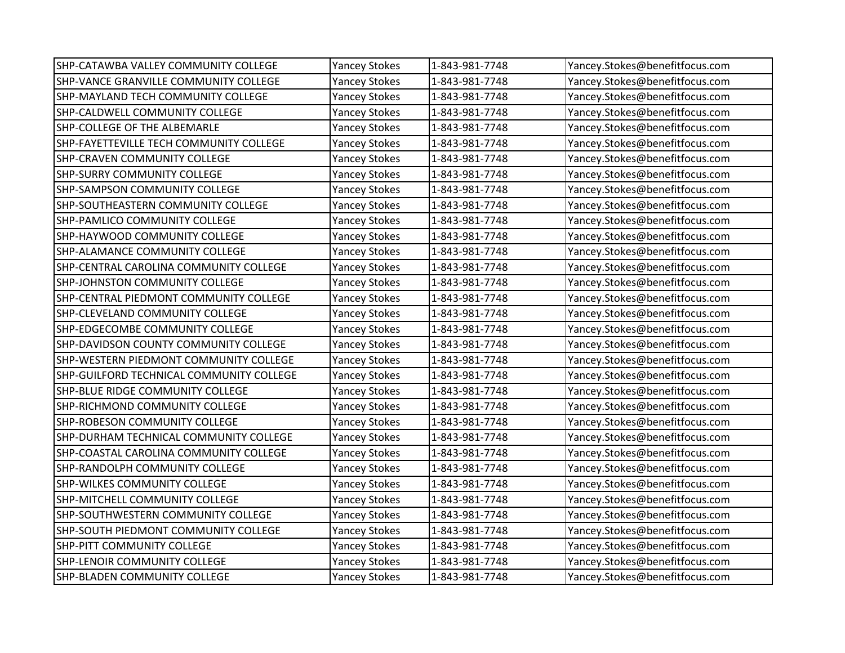| SHP-CATAWBA VALLEY COMMUNITY COLLEGE      | <b>Yancey Stokes</b> | 1-843-981-7748 | Yancey.Stokes@benefitfocus.com |
|-------------------------------------------|----------------------|----------------|--------------------------------|
| SHP-VANCE GRANVILLE COMMUNITY COLLEGE     | <b>Yancey Stokes</b> | 1-843-981-7748 | Yancey.Stokes@benefitfocus.com |
| <b>SHP-MAYLAND TECH COMMUNITY COLLEGE</b> | <b>Yancey Stokes</b> | 1-843-981-7748 | Yancey.Stokes@benefitfocus.com |
| SHP-CALDWELL COMMUNITY COLLEGE            | <b>Yancey Stokes</b> | 1-843-981-7748 | Yancey.Stokes@benefitfocus.com |
| SHP-COLLEGE OF THE ALBEMARLE              | <b>Yancey Stokes</b> | 1-843-981-7748 | Yancey.Stokes@benefitfocus.com |
| SHP-FAYETTEVILLE TECH COMMUNITY COLLEGE   | <b>Yancey Stokes</b> | 1-843-981-7748 | Yancey.Stokes@benefitfocus.com |
| <b>SHP-CRAVEN COMMUNITY COLLEGE</b>       | <b>Yancey Stokes</b> | 1-843-981-7748 | Yancey.Stokes@benefitfocus.com |
| <b>SHP-SURRY COMMUNITY COLLEGE</b>        | <b>Yancey Stokes</b> | 1-843-981-7748 | Yancey.Stokes@benefitfocus.com |
| <b>SHP-SAMPSON COMMUNITY COLLEGE</b>      | <b>Yancey Stokes</b> | 1-843-981-7748 | Yancey.Stokes@benefitfocus.com |
| SHP-SOUTHEASTERN COMMUNITY COLLEGE        | <b>Yancey Stokes</b> | 1-843-981-7748 | Yancey.Stokes@benefitfocus.com |
| <b>SHP-PAMLICO COMMUNITY COLLEGE</b>      | <b>Yancey Stokes</b> | 1-843-981-7748 | Yancey.Stokes@benefitfocus.com |
| SHP-HAYWOOD COMMUNITY COLLEGE             | <b>Yancey Stokes</b> | 1-843-981-7748 | Yancey.Stokes@benefitfocus.com |
| SHP-ALAMANCE COMMUNITY COLLEGE            | <b>Yancey Stokes</b> | 1-843-981-7748 | Yancey.Stokes@benefitfocus.com |
| SHP-CENTRAL CAROLINA COMMUNITY COLLEGE    | <b>Yancey Stokes</b> | 1-843-981-7748 | Yancey.Stokes@benefitfocus.com |
| <b>SHP-JOHNSTON COMMUNITY COLLEGE</b>     | <b>Yancey Stokes</b> | 1-843-981-7748 | Yancey.Stokes@benefitfocus.com |
| SHP-CENTRAL PIEDMONT COMMUNITY COLLEGE    | <b>Yancey Stokes</b> | 1-843-981-7748 | Yancey.Stokes@benefitfocus.com |
| SHP-CLEVELAND COMMUNITY COLLEGE           | <b>Yancey Stokes</b> | 1-843-981-7748 | Yancey.Stokes@benefitfocus.com |
| SHP-EDGECOMBE COMMUNITY COLLEGE           | <b>Yancey Stokes</b> | 1-843-981-7748 | Yancey.Stokes@benefitfocus.com |
| SHP-DAVIDSON COUNTY COMMUNITY COLLEGE     | <b>Yancey Stokes</b> | 1-843-981-7748 | Yancey.Stokes@benefitfocus.com |
| SHP-WESTERN PIEDMONT COMMUNITY COLLEGE    | <b>Yancey Stokes</b> | 1-843-981-7748 | Yancey.Stokes@benefitfocus.com |
| SHP-GUILFORD TECHNICAL COMMUNITY COLLEGE  | <b>Yancey Stokes</b> | 1-843-981-7748 | Yancey.Stokes@benefitfocus.com |
| SHP-BLUE RIDGE COMMUNITY COLLEGE          | <b>Yancey Stokes</b> | 1-843-981-7748 | Yancey.Stokes@benefitfocus.com |
| SHP-RICHMOND COMMUNITY COLLEGE            | <b>Yancey Stokes</b> | 1-843-981-7748 | Yancey.Stokes@benefitfocus.com |
| SHP-ROBESON COMMUNITY COLLEGE             | <b>Yancey Stokes</b> | 1-843-981-7748 | Yancey.Stokes@benefitfocus.com |
| SHP-DURHAM TECHNICAL COMMUNITY COLLEGE    | <b>Yancey Stokes</b> | 1-843-981-7748 | Yancey.Stokes@benefitfocus.com |
| SHP-COASTAL CAROLINA COMMUNITY COLLEGE    | <b>Yancey Stokes</b> | 1-843-981-7748 | Yancey.Stokes@benefitfocus.com |
| SHP-RANDOLPH COMMUNITY COLLEGE            | <b>Yancey Stokes</b> | 1-843-981-7748 | Yancey.Stokes@benefitfocus.com |
| <b>SHP-WILKES COMMUNITY COLLEGE</b>       | <b>Yancey Stokes</b> | 1-843-981-7748 | Yancey.Stokes@benefitfocus.com |
| SHP-MITCHELL COMMUNITY COLLEGE            | <b>Yancey Stokes</b> | 1-843-981-7748 | Yancey.Stokes@benefitfocus.com |
| SHP-SOUTHWESTERN COMMUNITY COLLEGE        | <b>Yancey Stokes</b> | 1-843-981-7748 | Yancey.Stokes@benefitfocus.com |
| SHP-SOUTH PIEDMONT COMMUNITY COLLEGE      | <b>Yancey Stokes</b> | 1-843-981-7748 | Yancey.Stokes@benefitfocus.com |
| <b>SHP-PITT COMMUNITY COLLEGE</b>         | <b>Yancey Stokes</b> | 1-843-981-7748 | Yancey.Stokes@benefitfocus.com |
| SHP-LENOIR COMMUNITY COLLEGE              | <b>Yancey Stokes</b> | 1-843-981-7748 | Yancey.Stokes@benefitfocus.com |
| <b>SHP-BLADEN COMMUNITY COLLEGE</b>       | <b>Yancey Stokes</b> | 1-843-981-7748 | Yancey.Stokes@benefitfocus.com |